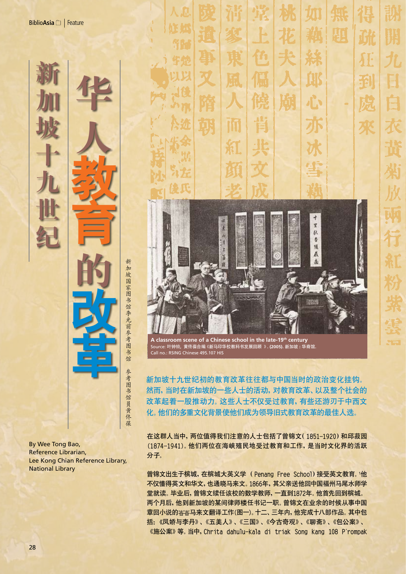**新**

**加**

**华**

**人**

教

**育**

**的** 

**坡**

**十**

**九**

**世**

**纪**

加 坡 国 家 图 书 馆 李 光 前 参 考 图 书 馆 参 考 图 书 馆 员 黄 佟 葆 **改** 革<br>**毕** 

By Wee Tong Bao, Reference Librarian, Lee Kong Chian Reference Library, National Library



新加坡十九世纪初的教育改革往往都与中国当时的政治变化挂钩。 然而,当时在新加坡的一些人士的活动,对教育改革、以及整个社会的 改革起着一股推动力。这些人士不仅受过教育,有些还游刃于中西文 化。他们的多重文化背景使他们成为领导旧式教育改革的最佳人选。

在这群人当中,两位值得我们注意的人士包括了曾锦文(1851-1920)和邱菽园 (1874-1941)。他们两位在海峡殖民地受过教育和工作,是当时文化界的活跃 分子。

曾锦文出生于槟城,在槟城大英义学 (Penang Free School)接受英文教育。<sup>1</sup> 他 不仅懂得英文和华文,也通晓马来文。1866年,其父亲送他回中国福州马尾水师学 堂就读。毕业后,曾锦文续任该校的数学教师,一直到1872年。他首先回到槟城。 两个月后,他到新加坡的某间律师楼任书记一职。曾锦文在业余的时候从事中国 章回小说的 马来文翻译工作(图一)。十二、三年内,他完成十八部作品。其中包 括: 凤娇与李丹》、《五美人》、《三国》、《今古奇观》、《聊斋》、《包公案》、 《施公案》等。当中,Chrita dahulu-kala di triak Song kang 108 P'rompak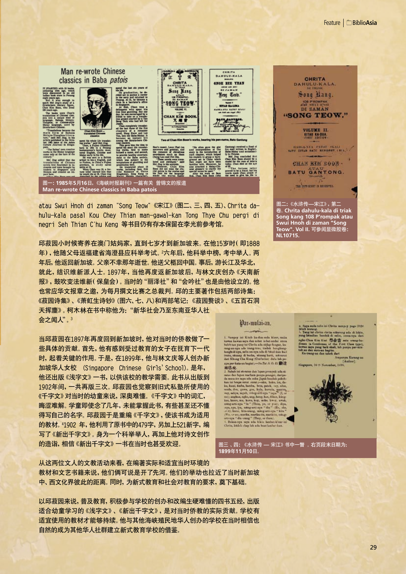## Man re-wrote Chinese CHRITA  $\mathbf{r}$ classics in Baba patois **GNOH REE YEAN CHRITA**<br>BANYLY-KALA Song Kang. h ago, which<br>ed in an old Beng Ceah. **SONG TEOW STEAD EAGLES OLUME VI.**  $\overline{\mathbf{r}}$   $\mathbf{u}$  **R** TE AANTSHE 安全 "He after gave the glass of the<br>said interaction of the same than the same couple and the<br>same chapter, which helped back-<br>has readers to graps a back-<br>grap of the China which<br>main a china which the back and the same glass 1118g ba noclety.<br>oct to the<br>miding and were trans-<br>fged," mald proved to be a fraud, but his<br>words made Chan aware of 图一**: 1985**年**5**月**16**日,《海峡时报副刊》一篇有关 曾锦文的报道 **Man re-wrote Chinese classics in Baba patois**

atau Swui Hnoh di zaman "Song Teow" 宋江》(图二、三、四、五)、Chrita dahulu-kala pasal Kou Chey Thian man-gawal-kan Tong Thye Chu pergi di negri Seh Thian C'hu Keng 等书目仍有存本保留在李光前参考馆。

邱菽园小时候寄养在澳门姑妈家,直到七岁才到新加坡来。在他15岁时(即1888 年),他随父母返福建省海澄县应科举考试。2 六年后,他科举中榜,考中举人。两 年后,他返回新加坡。父亲不幸那年逝世。他送父柩回中国。事后,游长江及华北, 就此,结识维新派人士。1897年,当他再度返新加坡后,与林文庆创办《天南新 报》,鼓吹变法维新(保皇会)。当时的"丽泽社"和"会吟社"也是由他设立的。他 也常应华文报章之邀,为每月撰文比赛之总裁判。邱的主要著作包括两部诗集: 菽园诗集》、《萧虹生诗钞》(图六、七、八)和两部笔记:《菽园赘谈》、《五百石洞 天挥麈》。柯木林在书中称他为: "新华社会乃至东南亚华人社 会之闻人"。3

当邱菽园在1897年再度回到新加坡时,他对当时的侨教做了一 些具体的贡献。首先,他有感到受过教育的女子在抚育下一代 时,起着关键的作用。于是,在1899年,他与林文庆等人创办新 加坡华人女校 (Singapore Chinese Girls'School)。是年, 他还出版《浅字文》一书,以供该校的教学需要。此书从出版到 1902年间,一共再版三次。邱菽园也觉察到旧式私塾所使用的 千字文》对当时的幼童来说,深奥难懂。《千字文》中的词汇, 晦涩难解。学童即使念了几年,未能掌握此书,有些甚至还不懂 得写自己的名字。邱菽园于是重编《千字文》,使该书成为适用 的教材。4 1902 年,他利用了原书中的479字,另加上521新字,编 写了《新出千字文》。身为一个科举举人,再加上他对诗文创作 的造诣,相信《新出千字文》一书在当时也甚受欢迎。

从这两位文人的文教活动来看,在编著实际和适宜当时环境的

教材和文艺书籍来说,他们俩可说是开了先河。他们的举动也拉近了当时新加坡 中、西文化界彼此的距离。同时,为新式教育和社会对教育的要求,奠下基础。

以邱菽园来说,普及教育,积极参与学校的创办和改编生硬难懂的四书五经,出版 适合幼童学习的《浅字文》、《新出千字文》,是对当时侨教的实际贡献。学校有 适宜使用的教材才能够持续。他与其他海峡殖民地华人创办的学校在当时相信也 自然的成为其他华人社群建立新式教育学校的借鉴。

**CHRITA** DAHULU.KALA Song Rang. DI ZAMAN "SONG TEOW." VOLUME II. **KITAB KA-DUA.**<br>FIRST EDITION HADIA-NYA PATOT SEALI CHAN KIM SOON -BATU GANTONG. minut a man

图二**:**《水浒传**—**宋江》,第二 卷。**Chrita dahulu-kala di triak Song kang 108 P'rompak atau Swui Hnoh di zaman "Song Teow". Vol II.** 可参阅显微胶卷**: NL10715.**



kawan saya dan sebat mbat-andai amas bengkang<br>I-kan kan No Tel A E EL 19 19 而已矣

2. Saladó ini stewatar dan lapan pemijuk ada ni ali nasi dan lapan pemijuk ada ni ali nasi dan lapan pemijuk handak plakha kan ini berpas meni selarah kan jadi berjadi kan lan ini berjadi kan lan lapan sentem sentem selar e, or seu moras, moras, en moras (moras)<br>Dakan ega, neya, ella bikin, hanbat klone (m<br>Dakan ega, neya, ella bikin, hanbat-klone (m

图三 、四**:** 《水浒传 **—** 宋江》书中一瞥 。右页段末日期为: **1899**年**11**月**10**日。

Chus Kim Kim Sat 20 QC 37 and are the Constitution of the First Class on mys. page back shall, lab purps produce the more than the constant back of the Constant Constant of the constant of the constant of the constant of t

4. Saya mila tulis ini Chrita manpey page 1920<br>Ishah kamag,<br>5. Yang ini chrita chrita sakarang ada di hikin,<br>yang bitmilian hasdak di salan, suma nya dari